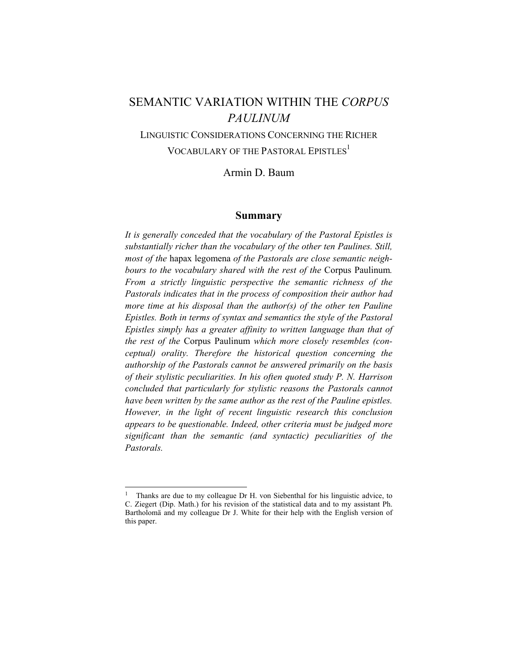# SEMANTIC VARIATION WITHIN THE *CORPUS PAULINUM*

LINGUISTIC CONSIDERATIONS CONCERNING THE RICHER VOCABULARY OF THE PASTORAL EPISTLES<sup>1</sup>

Armin D. Baum

### **Summary**

*It is generally conceded that the vocabulary of the Pastoral Epistles is substantially richer than the vocabulary of the other ten Paulines. Still, most of the* hapax legomena *of the Pastorals are close semantic neighbours to the vocabulary shared with the rest of the* Corpus Paulinum*. From a strictly linguistic perspective the semantic richness of the Pastorals indicates that in the process of composition their author had more time at his disposal than the author(s) of the other ten Pauline Epistles. Both in terms of syntax and semantics the style of the Pastoral Epistles simply has a greater affinity to written language than that of the rest of the* Corpus Paulinum *which more closely resembles (conceptual) orality. Therefore the historical question concerning the authorship of the Pastorals cannot be answered primarily on the basis of their stylistic peculiarities. In his often quoted study P. N. Harrison concluded that particularly for stylistic reasons the Pastorals cannot have been written by the same author as the rest of the Pauline epistles. However, in the light of recent linguistic research this conclusion appears to be questionable. Indeed, other criteria must be judged more significant than the semantic (and syntactic) peculiarities of the Pastorals.* 

<sup>1</sup> Thanks are due to my colleague Dr H. von Siebenthal for his linguistic advice, to C. Ziegert (Dip. Math.) for his revision of the statistical data and to my assistant Ph. Bartholomä and my colleague Dr J. White for their help with the English version of this paper.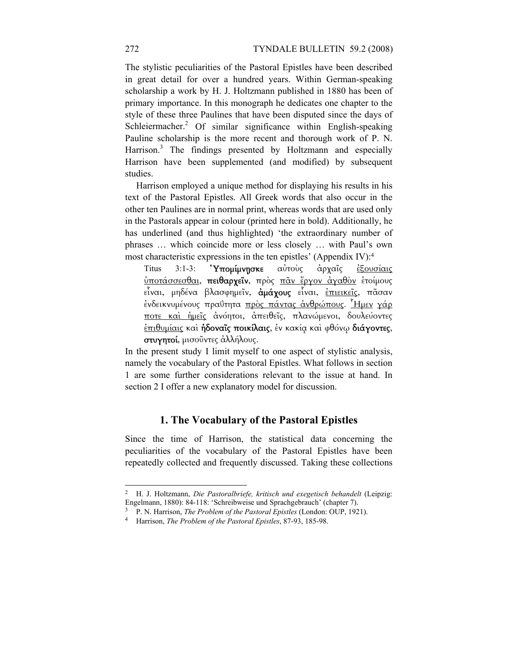The stylistic peculiarities of the Pastoral Epistles have been described in great detail for over a hundred years. Within German-speaking scholarship a work by H. J. Holtzmann published in 1880 has been of primary importance. In this monograph he dedicates one chapter to the style of these three Paulines that have been disputed since the days of Schleiermacher.<sup>2</sup> Of similar significance within English-speaking Pauline scholarship is the more recent and thorough work of P. N. Harrison.<sup>3</sup> The findings presented by Holtzmann and especially Harrison have been supplemented (and modified) by subsequent studies.

Harrison employed a unique method for displaying his results in his text of the Pastoral Epistles. All Greek words that also occur in the other ten Paulines are in normal print, whereas words that are used only in the Pastorals appear in colour (printed here in bold). Additionally, he has underlined (and thus highlighted) 'the extraordinary number of phrases … which coincide more or less closely … with Paul's own most characteristic expressions in the ten epistles' (Appendix IV):4

Titus 3:1-3: **Υπομίμνησκε** αὐτοὺς ἀρχαῖς <u>ἐξουσίαις</u> ὑποτάσσεσθαι, πειθαρχεῖν, πρὸς πᾶν ἔργον ἀγαθὸν ἑτοίµους εἶναι, μηδένα βλασφημεῖν, ἀμάχους εἶναι, <u>ἐπιεικεῖς</u>, πᾶσαν ένδεικνυμένους πραΰτητα πρὸς πάντας ἀνθρώπους. Ημεν γάρ ποτε καὶ ἡµεῖς ἀνόητοι, ἀπειθεῖς, πλανώµενοι, δουλεύοντες ἐπιθυµίαις καὶ ἡδοναῖς ποικίλαις, ἐν κακίᾳ καὶ φθόνῳ διάγοντες, στυγητοί, µισοῦντες ἀλλήλους.

In the present study I limit myself to one aspect of stylistic analysis, namely the vocabulary of the Pastoral Epistles. What follows in section 1 are some further considerations relevant to the issue at hand. In section 2 I offer a new explanatory model for discussion.

# **1. The Vocabulary of the Pastoral Epistles**

Since the time of Harrison, the statistical data concerning the peculiarities of the vocabulary of the Pastoral Epistles have been repeatedly collected and frequently discussed. Taking these collections

-

<sup>2</sup> H. J. Holtzmann, *Die Pastoralbriefe, kritisch und exegetisch behandelt* (Leipzig:

Engelmann, 1880): 84-118: 'Schreibweise und Sprachgebrauch' (chapter 7).<br><sup>3</sup> P. N. Harrison, *The Problem of the Pastoral Epistles* (London: OUP, 1921).<br><sup>4</sup> Harrison, *The Problem of the Pastoral Epistles*, 87-93, 185-98.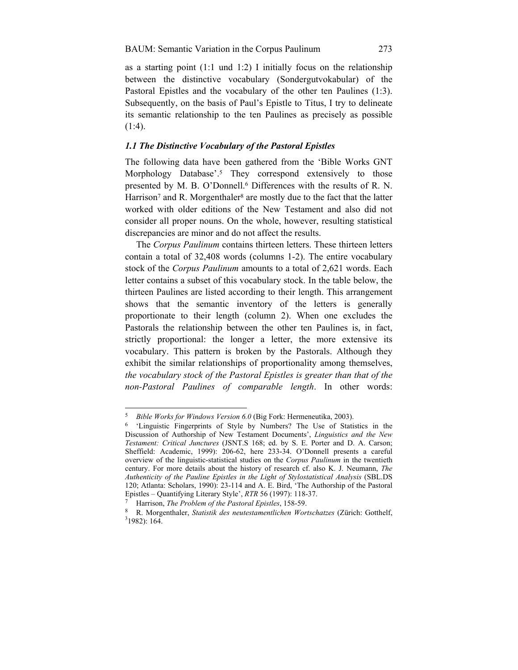as a starting point  $(1:1 \text{ und } 1:2)$  I initially focus on the relationship between the distinctive vocabulary (Sondergutvokabular) of the Pastoral Epistles and the vocabulary of the other ten Paulines (1:3). Subsequently, on the basis of Paul's Epistle to Titus, I try to delineate its semantic relationship to the ten Paulines as precisely as possible (1:4).

### *1.1 The Distinctive Vocabulary of the Pastoral Epistles*

The following data have been gathered from the 'Bible Works GNT Morphology Database'.5 They correspond extensively to those presented by M. B. O'Donnell.6 Differences with the results of R. N. Harrison<sup>7</sup> and R. Morgenthaler<sup>8</sup> are mostly due to the fact that the latter worked with older editions of the New Testament and also did not consider all proper nouns. On the whole, however, resulting statistical discrepancies are minor and do not affect the results.

The *Corpus Paulinum* contains thirteen letters. These thirteen letters contain a total of 32,408 words (columns 1-2). The entire vocabulary stock of the *Corpus Paulinum* amounts to a total of 2,621 words. Each letter contains a subset of this vocabulary stock. In the table below, the thirteen Paulines are listed according to their length. This arrangement shows that the semantic inventory of the letters is generally proportionate to their length (column 2). When one excludes the Pastorals the relationship between the other ten Paulines is, in fact, strictly proportional: the longer a letter, the more extensive its vocabulary. This pattern is broken by the Pastorals. Although they exhibit the similar relationships of proportionality among themselves, *the vocabulary stock of the Pastoral Epistles is greater than that of the non-Pastoral Paulines of comparable length*. In other words:

<sup>5</sup> *Bible Works for Windows Version 6.0* (Big Fork: Hermeneutika, 2003). 6 'Linguistic Fingerprints of Style by Numbers? The Use of Statistics in the Discussion of Authorship of New Testament Documents', *Linguistics and the New Testament: Critical Junctures* (JSNT.S 168; ed. by S. E. Porter and D. A. Carson; Sheffield: Academic, 1999): 206-62, here 233-34. O'Donnell presents a careful overview of the linguistic-statistical studies on the *Corpus Paulinum* in the twentieth century. For more details about the history of research cf. also K. J. Neumann, *The Authenticity of the Pauline Epistles in the Light of Stylostatistical Analysis* (SBL.DS 120; Atlanta: Scholars, 1990): 23-114 and A. E. Bird, 'The Authorship of the Pastoral Epistles – Quantifying Literary Style', RTR 56 (1997): 118-37.<br>
<sup>7</sup> Harrison, *The Problem of the Pastoral Epistles*, 158-59.<br>
<sup>8</sup> R. Morgenthaler, *Statistik des neutestamentlichen Wortschatzes* (Zürich: Gotthelf,

 $31982$ : 164.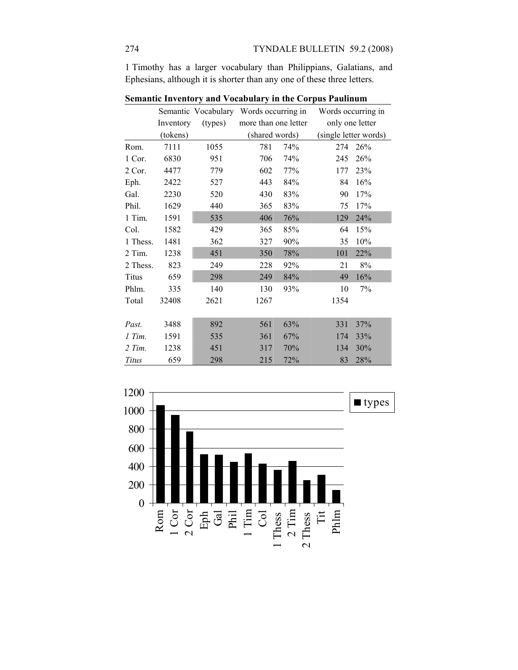1 Timothy has a larger vocabulary than Philippians, Galatians, and Ephesians, although it is shorter than any one of these three letters.

|          |           | $\alpha$ , and $\alpha$ is a set of $\alpha$ and $\beta$ and $\alpha$ and $\beta$ in the corpus 1 admitting |                | Semantic Vocabulary Words occurring in |      | Words occurring in    |
|----------|-----------|-------------------------------------------------------------------------------------------------------------|----------------|----------------------------------------|------|-----------------------|
|          | Inventory | (types)                                                                                                     |                | more than one letter                   |      | only one letter       |
|          | (tokens)  |                                                                                                             | (shared words) |                                        |      | (single letter words) |
| Rom.     | 7111      | 1055                                                                                                        | 781            | 74%                                    | 274  | 26%                   |
| 1 Cor.   | 6830      | 951                                                                                                         | 706            | 74%                                    | 245  | 26%                   |
| 2 Cor.   | 4477      | 779                                                                                                         | 602            | 77%                                    | 177  | 23%                   |
| Eph.     | 2422      | 527                                                                                                         | 443            | 84%                                    | 84   | 16%                   |
| Gal.     | 2230      | 520                                                                                                         | 430            | 83%                                    | 90   | 17%                   |
| Phil.    | 1629      | 440                                                                                                         | 365            | 83%                                    | 75   | 17%                   |
| 1 Tim.   | 1591      | 535                                                                                                         | 406            | 76%                                    | 129  | 24%                   |
| Col.     | 1582      | 429                                                                                                         | 365            | 85%                                    | 64   | 15%                   |
| 1 Thess. | 1481      | 362                                                                                                         | 327            | 90%                                    | 35   | 10%                   |
| 2 Tim.   | 1238      | 451                                                                                                         | 350            | 78%                                    | 101  | 22%                   |
| 2 Thess. | 823       | 249                                                                                                         | 228            | 92%                                    | 21   | $8\%$                 |
| Titus    | 659       | 298                                                                                                         | 249            | 84%                                    | 49   | 16%                   |
| Phlm.    | 335       | 140                                                                                                         | 130            | 93%                                    | 10   | 7%                    |
| Total    | 32408     | 2621                                                                                                        | 1267           |                                        | 1354 |                       |
|          |           |                                                                                                             |                |                                        |      |                       |
| Past.    | 3488      | 892                                                                                                         | 561            | 63%                                    | 331  | 37%                   |
| 1 Tim.   | 1591      | 535                                                                                                         | 361            | 67%                                    | 174  | 33%                   |
| $2$ Tim. | 1238      | 451                                                                                                         | 317            | 70%                                    | 134  | 30%                   |
| Titus    | 659       | 298                                                                                                         | 215            | 72%                                    | 83   | 28%                   |

**Semantic Inventory and Vocabulary in the Corpus Paulinum** 

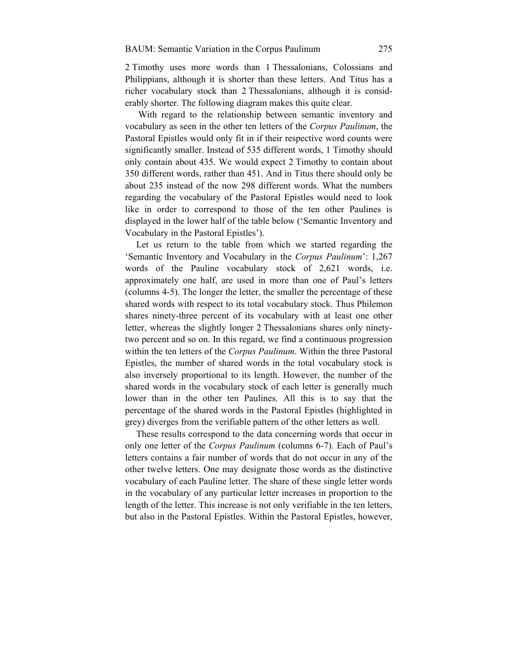2 Timothy uses more words than 1 Thessalonians, Colossians and Philippians, although it is shorter than these letters. And Titus has a richer vocabulary stock than 2 Thessalonians, although it is considerably shorter. The following diagram makes this quite clear.

With regard to the relationship between semantic inventory and vocabulary as seen in the other ten letters of the *Corpus Paulinum*, the Pastoral Epistles would only fit in if their respective word counts were significantly smaller. Instead of 535 different words, 1 Timothy should only contain about 435. We would expect 2 Timothy to contain about 350 different words, rather than 451. And in Titus there should only be about 235 instead of the now 298 different words. What the numbers regarding the vocabulary of the Pastoral Epistles would need to look like in order to correspond to those of the ten other Paulines is displayed in the lower half of the table below ('Semantic Inventory and Vocabulary in the Pastoral Epistles').

Let us return to the table from which we started regarding the 'Semantic Inventory and Vocabulary in the *Corpus Paulinum*': 1,267 words of the Pauline vocabulary stock of 2,621 words, i.e. approximately one half, are used in more than one of Paul's letters (columns 4-5). The longer the letter, the smaller the percentage of these shared words with respect to its total vocabulary stock. Thus Philemon shares ninety-three percent of its vocabulary with at least one other letter, whereas the slightly longer 2 Thessalonians shares only ninetytwo percent and so on. In this regard, we find a continuous progression within the ten letters of the *Corpus Paulinum*. Within the three Pastoral Epistles, the number of shared words in the total vocabulary stock is also inversely proportional to its length. However, the number of the shared words in the vocabulary stock of each letter is generally much lower than in the other ten Paulines. All this is to say that the percentage of the shared words in the Pastoral Epistles (highlighted in grey) diverges from the verifiable pattern of the other letters as well.

These results correspond to the data concerning words that occur in only one letter of the *Corpus Paulinum* (columns 6-7). Each of Paul's letters contains a fair number of words that do not occur in any of the other twelve letters. One may designate those words as the distinctive vocabulary of each Pauline letter. The share of these single letter words in the vocabulary of any particular letter increases in proportion to the length of the letter. This increase is not only verifiable in the ten letters, but also in the Pastoral Epistles. Within the Pastoral Epistles, however,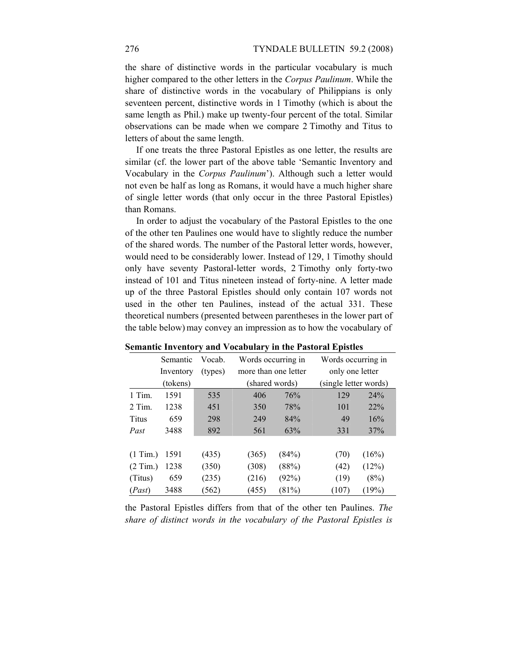the share of distinctive words in the particular vocabulary is much higher compared to the other letters in the *Corpus Paulinum*. While the share of distinctive words in the vocabulary of Philippians is only seventeen percent, distinctive words in 1 Timothy (which is about the same length as Phil.) make up twenty-four percent of the total. Similar observations can be made when we compare 2 Timothy and Titus to letters of about the same length.

If one treats the three Pastoral Epistles as one letter, the results are similar (cf. the lower part of the above table 'Semantic Inventory and Vocabulary in the *Corpus Paulinum*'). Although such a letter would not even be half as long as Romans, it would have a much higher share of single letter words (that only occur in the three Pastoral Epistles) than Romans.

In order to adjust the vocabulary of the Pastoral Epistles to the one of the other ten Paulines one would have to slightly reduce the number of the shared words. The number of the Pastoral letter words, however, would need to be considerably lower. Instead of 129, 1 Timothy should only have seventy Pastoral-letter words, 2 Timothy only forty-two instead of 101 and Titus nineteen instead of forty-nine. A letter made up of the three Pastoral Epistles should only contain 107 words not used in the other ten Paulines, instead of the actual 331. These theoretical numbers (presented between parentheses in the lower part of the table below) may convey an impression as to how the vocabulary of

|            | Semantic  | Vocab.  |                      | Words occurring in |                       | Words occurring in |
|------------|-----------|---------|----------------------|--------------------|-----------------------|--------------------|
|            | Inventory | (types) | more than one letter |                    | only one letter       |                    |
|            | (tokens)  |         |                      | (shared words)     | (single letter words) |                    |
| 1 Tim.     | 1591      | 535     | 406                  | 76%                | 129                   | 24%                |
| $2$ Tim.   | 1238      | 451     | 350                  | 78%                | 101                   | 22%                |
| Titus      | 659       | 298     | 249                  | 84%                | 49                    | 16%                |
| Past       | 3488      | 892     | 561                  | 63%                | 331                   | 37%                |
|            |           |         |                      |                    |                       |                    |
| $(1$ Tim.) | 1591      | (435)   | (365)                | (84%)              | (70)                  | (16%)              |
| (2 Tim.)   | 1238      | (350)   | (308)                | (88%)              | (42)                  | (12%)              |
| (Titus)    | 659       | (235)   | (216)                | (92%)              | (19)                  | (8%)               |
| (Past)     | 3488      | (562)   | (455)                | (81%)              | (107)                 | (19%)              |

**Semantic Inventory and Vocabulary in the Pastoral Epistles** 

the Pastoral Epistles differs from that of the other ten Paulines. *The share of distinct words in the vocabulary of the Pastoral Epistles is*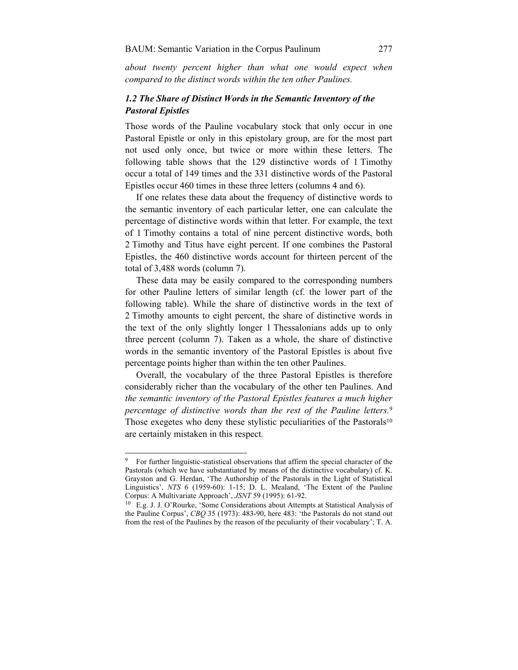*about twenty percent higher than what one would expect when compared to the distinct words within the ten other Paulines.*

## *1.2 The Share of Distinct Words in the Semantic Inventory of the Pastoral Epistles*

Those words of the Pauline vocabulary stock that only occur in one Pastoral Epistle or only in this epistolary group, are for the most part not used only once, but twice or more within these letters. The following table shows that the 129 distinctive words of 1 Timothy occur a total of 149 times and the 331 distinctive words of the Pastoral Epistles occur 460 times in these three letters (columns 4 and 6).

If one relates these data about the frequency of distinctive words to the semantic inventory of each particular letter, one can calculate the percentage of distinctive words within that letter. For example, the text of 1 Timothy contains a total of nine percent distinctive words, both 2 Timothy and Titus have eight percent. If one combines the Pastoral Epistles, the 460 distinctive words account for thirteen percent of the total of 3,488 words (column 7).

These data may be easily compared to the corresponding numbers for other Pauline letters of similar length (cf. the lower part of the following table). While the share of distinctive words in the text of 2 Timothy amounts to eight percent, the share of distinctive words in the text of the only slightly longer 1 Thessalonians adds up to only three percent (column 7). Taken as a whole, the share of distinctive words in the semantic inventory of the Pastoral Epistles is about five percentage points higher than within the ten other Paulines.

Overall, the vocabulary of the three Pastoral Epistles is therefore considerably richer than the vocabulary of the other ten Paulines. And *the semantic inventory of the Pastoral Epistles features a much higher percentage of distinctive words than the rest of the Pauline letters.*<sup>9</sup> Those exegetes who deny these stylistic peculiarities of the Pastorals<sup>10</sup> are certainly mistaken in this respect*.*

<sup>&</sup>lt;sup>9</sup> For further linguistic-statistical observations that affirm the special character of the Pastorals (which we have substantiated by means of the distinctive vocabulary) cf. K. Grayston and G. Herdan, 'The Authorship of the Pastorals in the Light of Statistical Linguistics', *NTS* 6 (1959-60): 1-15; D. L. Mealand, 'The Extent of the Pauline

Corpus: A Multivariate Approach', *JSNT* 59 (1995): 61-92.<br><sup>10</sup> E.g. J. J. O'Rourke, 'Some Considerations about Attempts at Statistical Analysis of the Pauline Corpus', *CBQ* 35 (1973): 483-90, here 483: 'the Pastorals do not stand out from the rest of the Paulines by the reason of the peculiarity of their vocabulary'; T. A.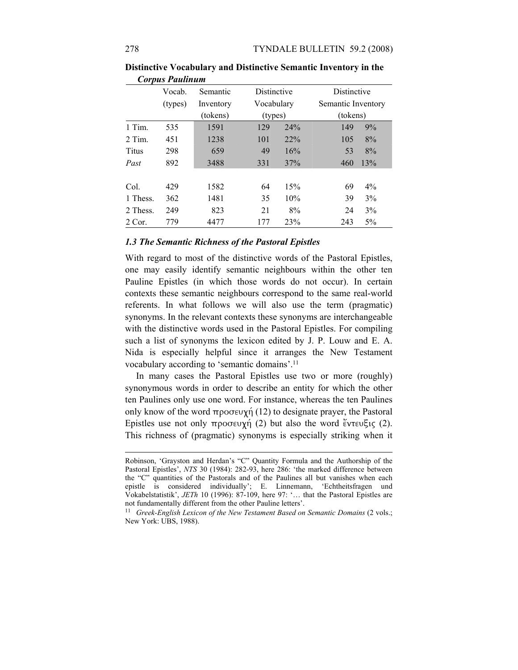|          | Vocab.  | Semantic  | Distinctive |     | Distinctive        |       |
|----------|---------|-----------|-------------|-----|--------------------|-------|
|          | (types) | Inventory | Vocabulary  |     | Semantic Inventory |       |
|          |         | (tokens)  | (types)     |     | (tokens)           |       |
| 1 Tim.   | 535     | 1591      | 129         | 24% | 149                | 9%    |
| 2 Tim.   | 451     | 1238      | 101         | 22% | 105                | 8%    |
| Titus    | 298     | 659       | 49          | 16% | 53                 | 8%    |
| Past     | 892     | 3488      | 331         | 37% | 460                | 13%   |
|          |         |           |             |     |                    |       |
| Col.     | 429     | 1582      | 64          | 15% | 69                 | $4\%$ |
| 1 Thess. | 362     | 1481      | 35          | 10% | 39                 | 3%    |
| 2 Thess. | 249     | 823       | 21          | 8%  | 24                 | 3%    |
| 2 Cor.   | 779     | 4477      | 177         | 23% | 243                | $5\%$ |

**Distinctive Vocabulary and Distinctive Semantic Inventory in the**  *Corpus Paulinum*

### *1.3 The Semantic Richness of the Pastoral Epistles*

With regard to most of the distinctive words of the Pastoral Epistles, one may easily identify semantic neighbours within the other ten Pauline Epistles (in which those words do not occur). In certain contexts these semantic neighbours correspond to the same real-world referents. In what follows we will also use the term (pragmatic) synonyms. In the relevant contexts these synonyms are interchangeable with the distinctive words used in the Pastoral Epistles. For compiling such a list of synonyms the lexicon edited by J. P. Louw and E. A. Nida is especially helpful since it arranges the New Testament vocabulary according to 'semantic domains'.11

In many cases the Pastoral Epistles use two or more (roughly) synonymous words in order to describe an entity for which the other ten Paulines only use one word. For instance, whereas the ten Paulines only know of the word προσευχή (12) to designate prayer, the Pastoral Epistles use not only προσευχή (2) but also the word ἔντευξις (2). This richness of (pragmatic) synonyms is especially striking when it

 $\overline{a}$ 

Robinson, 'Grayston and Herdan's "C" Quantity Formula and the Authorship of the Pastoral Epistles', *NTS* 30 (1984): 282-93, here 286: 'the marked difference between the "C" quantities of the Pastorals and of the Paulines all but vanishes when each epistle is considered individually'; E. Linnemann, 'Echtheitsfragen und Vokabelstatistik', *JETh* 10 (1996): 87-109, here 97: '… that the Pastoral Epistles are

<sup>&</sup>lt;sup>11</sup> Greek-English Lexicon of the New Testament Based on Semantic Domains (2 vols.; New York: UBS, 1988).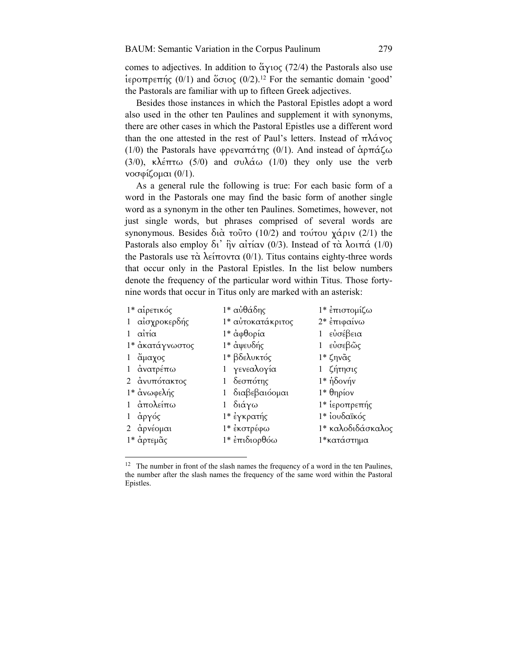comes to adjectives. In addition to άγιος (72/4) the Pastorals also use ἱεροπρεπής (0/1) and ὅσιος (0/2).12 For the semantic domain 'good' the Pastorals are familiar with up to fifteen Greek adjectives.

Besides those instances in which the Pastoral Epistles adopt a word also used in the other ten Paulines and supplement it with synonyms, there are other cases in which the Pastoral Epistles use a different word than the one attested in the rest of Paul's letters. Instead of πλάνος (1/0) the Pastorals have φρεναπάτης (0/1). And instead of άρπάζω (3/0), κλέπτω (5/0) and συλάω (1/0) they only use the verb νοσφίζοµαι (0/1).

As a general rule the following is true: For each basic form of a word in the Pastorals one may find the basic form of another single word as a synonym in the other ten Paulines. Sometimes, however, not just single words, but phrases comprised of several words are synonymous. Besides διὰ τοῦτο (10/2) and τούτου χάριν (2/1) the Pastorals also employ δι' ἣν αἰτίαν (0/3). Instead of τὰ λοιπά (1/0) the Pastorals use τὰ λείποντα  $(0/1)$ . Titus contains eighty-three words that occur only in the Pastoral Epistles. In the list below numbers denote the frequency of the particular word within Titus. Those fortynine words that occur in Titus only are marked with an asterisk:

| 1* αίρετικός    | 1* αὐθάδης        | 1* επιστομίζω     |
|-----------------|-------------------|-------------------|
| 1 αίσχροκερδής  | 1* αυτοκατάκριτος | 2* επιφαίνω       |
| αίτία           | 1* ἀφθορία        | εὐσέβεια          |
| 1* ακατάγνωστος | 1* άψευδής        | 1 εὐσεβῶς         |
| 1 ἄμαχος        | 1* βδελυκτός      | $1*$ ζηνᾶς        |
| 1 ανατρέπω      | 1 γενεαλογία      | 1 ζήτησις         |
| 2 ανυπότακτος   | 1 δεσπότης        | $1*$ ήδονήν       |
| 1* ανωφελής     | 1 διαβεβαιόσμαι   | $1*$ θηρίον       |
| 1 απολείπω      | διάγω             | 1* ιεροπρεπής     |
| 1 άργός         | 1* έγκρατής       | 1* ιουδαϊκός      |
| 2 αρνέομαι      | 1* έκστρέφω       | 1* καλοδιδάσκαλος |
| 1* αρτεμᾶς      | 1* επιδιορθόω     | 1*κατάστημα       |
|                 |                   |                   |
|                 |                   |                   |

<sup>&</sup>lt;sup>12</sup> The number in front of the slash names the frequency of a word in the ten Paulines, the number after the slash names the frequency of the same word within the Pastoral Epistles.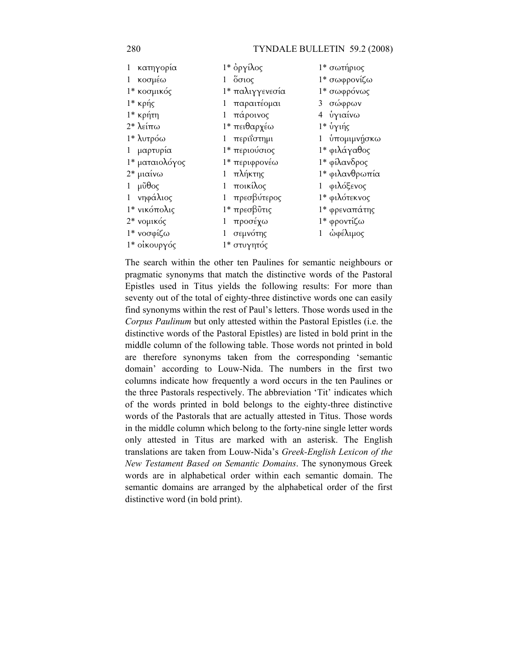### 280 TYNDALE BULLETIN 59.2 (2008)

| 1 κατηγορία                      | 1* όργίλος       | 1* σωτήριος    |
|----------------------------------|------------------|----------------|
| 1 κοσμέω                         | $1\degree$ όσιος | 1* σωφρονίζω   |
| 1* κοσμικός                      | 1* παλιγγενεσία  | 1* σωφρόνως    |
| 1* κρής                          | 1 παραιτέομαι    | 3 σώφρων       |
| 1* κρήτη                         | 1 πάροινος       | 4 ὑγιαίνω      |
| $2^*$ λείπω                      | 1* πειθαρχέω     | 1* ὑγιής       |
| 1* λυτρόω                        | 1 περιΐστημι     | 1 υπομιμνήσκω  |
| 1 μαρτυρία                       | 1* περιούσιος    | 1* φιλάγαθος   |
| 1* ματαιολόγος                   | 1* περιφρονέω    | 1* φίλανδρος   |
| 2* μιαίνω                        | 1 πλήκτης        | 1* φιλανθρωπία |
| $1 \mu\tilde{\upsilon}\theta$ ος | 1 ποικίλος       | 1 φιλόξενος    |
| 1 νηφάλιος                       | 1 πρεσβύτερος    | 1* φιλότεκνος  |
| 1* νικόπολις                     | 1* πρεσβῦτις     | 1* φρεναπάτης  |
| 2* νομικός                       | 1 προσέχω        | 1* φροντίζω    |
| 1* νοσφίζω                       | 1 σεμνότης       | 1 ώφέλιμος     |
| 1* οίκουργός                     | 1* στυγητός      |                |

The search within the other ten Paulines for semantic neighbours or pragmatic synonyms that match the distinctive words of the Pastoral Epistles used in Titus yields the following results: For more than seventy out of the total of eighty-three distinctive words one can easily find synonyms within the rest of Paul's letters. Those words used in the *Corpus Paulinum* but only attested within the Pastoral Epistles (i.e. the distinctive words of the Pastoral Epistles) are listed in bold print in the middle column of the following table. Those words not printed in bold are therefore synonyms taken from the corresponding 'semantic domain' according to Louw-Nida. The numbers in the first two columns indicate how frequently a word occurs in the ten Paulines or the three Pastorals respectively. The abbreviation 'Tit' indicates which of the words printed in bold belongs to the eighty-three distinctive words of the Pastorals that are actually attested in Titus. Those words in the middle column which belong to the forty-nine single letter words only attested in Titus are marked with an asterisk. The English translations are taken from Louw-Nida's *Greek-English Lexicon of the New Testament Based on Semantic Domains*. The synonymous Greek words are in alphabetical order within each semantic domain. The semantic domains are arranged by the alphabetical order of the first distinctive word (in bold print).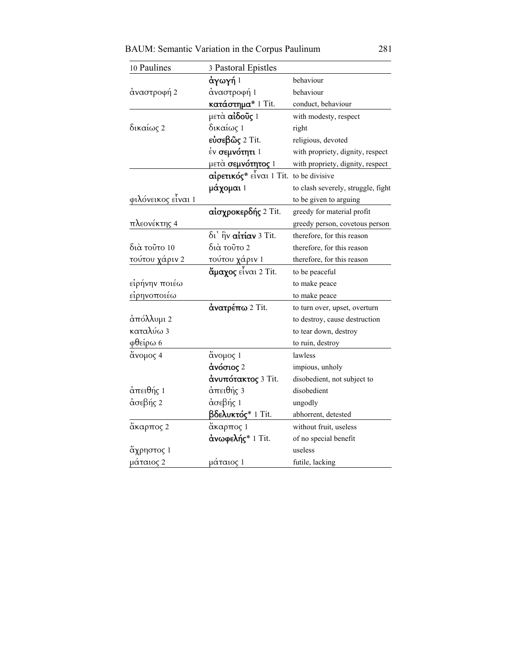BAUM: Semantic Variation in the Corpus Paulinum 281

| 10 Paulines        | 3 Pastoral Epistles        |                                    |
|--------------------|----------------------------|------------------------------------|
|                    | άγωγή 1                    | behaviour                          |
| άναστροφή 2        | άναστροφή 1                | behaviour                          |
|                    | κατάστημα* 1 Tit.          | conduct, behaviour                 |
|                    | μετὰ <b>αἰδοῦς</b> 1       | with modesty, respect              |
| δικαίως 2          | δικαίως 1                  | right                              |
|                    | εὐσεβῶς 2 Tit.             | religious, devoted                 |
|                    | έν <b>σεμνότητι</b> 1      | with propriety, dignity, respect   |
|                    | μετὰ <b>σεμνότητος</b> 1   | with propriety, dignity, respect   |
|                    | αίρετικός* εἶναι 1 Tit.    | to be divisive                     |
|                    | <b>μάχομαι</b> 1           | to clash severely, struggle, fight |
| φιλόνεικος είναι 1 |                            | to be given to arguing             |
|                    | αίσχροκερδής 2 Tit.        | greedy for material profit         |
| πλεονέκτης 4       |                            | greedy person, covetous person     |
|                    | δι' ήν αίτίαν 3 Tit.       | therefore, for this reason         |
| διά τοῦτο 10       | διὰ τοῦτο 2                | therefore, for this reason         |
| τούτου χάριν 2     | τούτου χάριν 1             | therefore, for this reason         |
|                    | <b>ἄμαχος</b> εἶναι 2 Tit. | to be peaceful                     |
| εἰρήνην ποιέω      |                            | to make peace                      |
| είρηνοποιέω        |                            | to make peace                      |
|                    | άνατρέπω 2 Tit.            | to turn over, upset, overturn      |
| άπόλλυμι 2         |                            | to destroy, cause destruction      |
| καταλύω 3          |                            | to tear down, destroy              |
| φθείρω 6           |                            | to ruin, destroy                   |
| άνομος 4           | άνομος 1                   | lawless                            |
|                    | άνόσιος 2                  | impious, unholy                    |
|                    | άνυπότακτος 3 Tit.         | disobedient, not subject to        |
| άπειθής 1          | άπειθής 3                  | disobedient                        |
| άσεβής 2           | άσεβής 1                   | ungodly                            |
|                    | <b>βδελυκτός</b> * 1 Tit.  | abhorrent, detested                |
| άκαρπος 2          | άκαρπος 1                  | without fruit, useless             |
|                    | άνωφελής* 1 Tit.           | of no special benefit              |
| άχρηστος 1         |                            | useless                            |
| μάταιος 2          | μάταιος 1                  | futile, lacking                    |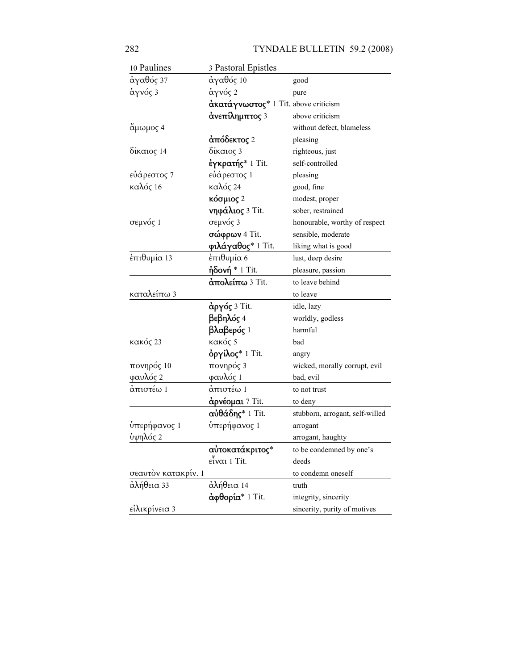282 TYNDALE BULLETIN 59.2 (2008)

| 10 Paulines         | 3 Pastoral Epistles                  |                                 |
|---------------------|--------------------------------------|---------------------------------|
| άγαθός 37           | άγαθός 10                            | good                            |
| άγνός 3             | άγνός 2                              | pure                            |
|                     | άκατάγνωστος* 1 Tit. above criticism |                                 |
|                     | άνεπίλημπτος 3                       | above criticism                 |
| ἄμωμος 4            |                                      | without defect, blameless       |
|                     | άπόδεκτος 2                          | pleasing                        |
| δίκαιος 14          | δίκαιος 3                            | righteous, just                 |
|                     | έγκρατής* 1 Tit.                     | self-controlled                 |
| εὐάρεστος 7         | εὐάρεστος 1                          | pleasing                        |
| καλός 16            | καλός 24                             | good, fine                      |
|                     | κόσμιος 2                            | modest, proper                  |
|                     | <b>νηφάλιος</b> 3 Tit.               | sober, restrained               |
| σεμνός 1            | σεμνός 3                             | honourable, worthy of respect   |
|                     | <b>σώφρων</b> 4 Tit.                 | sensible, moderate              |
|                     | φιλάγαθος* 1 Tit.                    | liking what is good             |
| έπιθυμία 13         | έπιθυμία 6                           | lust, deep desire               |
|                     | <b>ἡδονή</b> * 1 Tit.                | pleasure, passion               |
|                     | άπολείπω 3 Tit.                      | to leave behind                 |
| καταλείπω 3         |                                      | to leave                        |
|                     | άργός 3 Tit.                         | idle, lazy                      |
|                     | βεβηλός 4                            | worldly, godless                |
|                     | βλαβερός 1                           | harmful                         |
| κακός 23            | κακός 5                              | bad                             |
|                     | όργίλος* 1 Tit.                      | angry                           |
| πονηρός 10          | πονηρός 3                            | wicked, morally corrupt, evil   |
| φαυλός 2            | φαυλός 1                             | bad, evil                       |
| άπιστέω 1           | άπιστέω 1                            | to not trust                    |
|                     | άρνέομαι 7 Tit.                      | to deny                         |
|                     | αὐθάδης* 1 Tit.                      | stubborn, arrogant, self-willed |
| ύπερήφανος 1        | <u>ύπερήφανος</u> 1                  | arrogant                        |
| ύψηλός 2            |                                      | arrogant, haughty               |
|                     | αὐτοκατάκριτος*                      | to be condemned by one's        |
|                     | $ε$ ίναι 1 Tit.                      | deeds                           |
| σεαυτόν κατακρίν. 1 |                                      | to condemn oneself              |
| άλήθεια 33          | άλήθεια 14                           | truth                           |
|                     | άφθορία* 1 Tit.                      | integrity, sincerity            |
| είλικρίνεια 3       |                                      | sincerity, purity of motives    |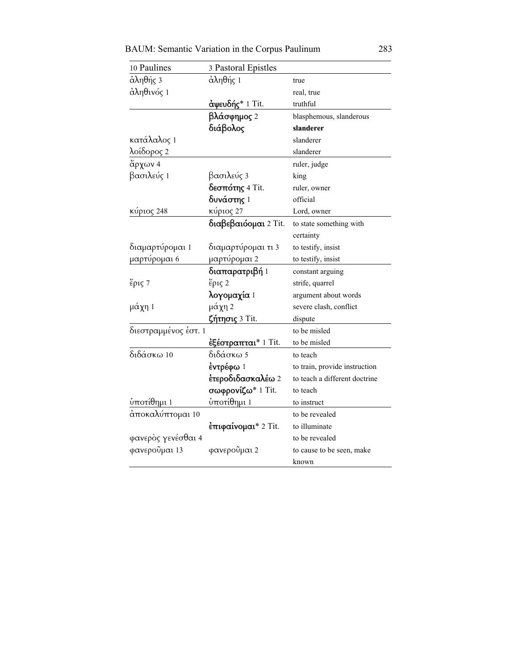BAUM: Semantic Variation in the Corpus Paulinum 283

| 10 Paulines          | 3 Pastoral Epistles         |                               |
|----------------------|-----------------------------|-------------------------------|
| άληθής 3             | άληθής 1                    | true                          |
| άληθινός 1           |                             | real, true                    |
|                      | <b>άψευδής</b> * 1 Tit.     | truthful                      |
|                      | βλάσφημος 2                 | blasphemous, slanderous       |
|                      | διάβολος                    | slanderer                     |
| κατάλαλος 1          |                             | slanderer                     |
| λοίδορος 2           |                             | slanderer                     |
| ἄρχων 4              |                             | ruler, judge                  |
| βασιλεύς 1           | βασιλεύς 3                  | king                          |
|                      | <b>δεσπότης</b> 4 Tit.      | ruler, owner                  |
|                      | δυνάστης 1                  | official                      |
| κύριος 248           | κύριος 27                   | Lord, owner                   |
|                      | διαβεβαιό ομαι 2 Tit.       | to state something with       |
|                      |                             | certainty                     |
| διαμαρτύρομαι 1      | διαμαρτύρομαι τι 3          | to testify, insist            |
| μαρτύρομαι 6         | μαρτύρομαι 2                | to testify, insist            |
|                      | <b>διαπαρατριβή</b> 1       | constant arguing              |
| έρις 7               | έρις 2                      | strife, quarrel               |
|                      | λογομαχία 1                 | argument about words          |
| μάχη 1               | μάχη 2                      | severe clash, conflict        |
|                      | ζήτησις 3 Tit.              | dispute                       |
| διεστραμμένος έστ. 1 |                             | to be misled                  |
|                      | εξέστραπται* 1 Tit.         | to be misled                  |
| διδάσκω 10           | διδάσκω 5                   | to teach                      |
|                      | έντρέφω $1$                 | to train, provide instruction |
|                      | έτεροδιδασκαλέω 2           | to teach a different doctrine |
|                      | σωφρονίζω* 1 Tit.           | to teach                      |
| ὑποτίθημι 1          | ύποτίθημι 1                 | to instruct                   |
| άποκαλύπτομαι 10     |                             | to be revealed                |
|                      | <b>έπιφαίνομαι</b> * 2 Tit. | to illuminate                 |
| φανερὸς γενέσθαι 4   |                             | to be revealed                |
| φανερούμαι 13        | φανεροΰμαι 2                | to cause to be seen, make     |
|                      |                             | known                         |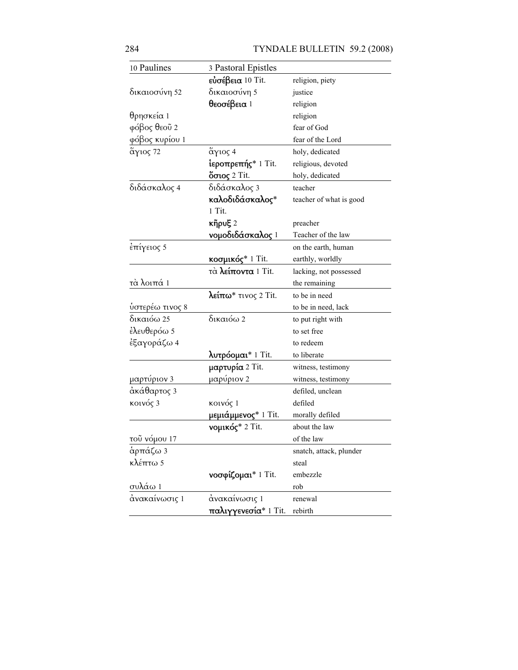| 10 Paulines     | 3 Pastoral Epistles             |                         |
|-----------------|---------------------------------|-------------------------|
|                 | ευσέβεια 10 Tit.                | religion, piety         |
| δικαιοσύνη 52   | δικαιοσύνη 5                    | justice                 |
|                 | θεοσέβεια 1                     | religion                |
| θρησκεία 1      |                                 | religion                |
| φόβος θεοῦ 2    |                                 | fear of God             |
| φόβος κυρίου 1  |                                 | fear of the Lord        |
| ἅγιος 72        | άγιος 4                         | holy, dedicated         |
|                 | <b>ιεροπρεπής</b> * 1 Tit.      | religious, devoted      |
|                 | <b>ὄσιος</b> 2 Tit.             | holy, dedicated         |
| διδάσκαλος 4    | διδάσκαλος 3                    | teacher                 |
|                 | καλοδιδάσκαλος*                 | teacher of what is good |
|                 | 1 Tit.                          |                         |
|                 | $\kappa$ ῆρυξ 2                 | preacher                |
|                 | νομοδιδάσκαλος 1                | Teacher of the law      |
| έπίγειος 5      |                                 | on the earth, human     |
|                 | <b>κοσμικός</b> * 1 Tit.        | earthly, worldly        |
|                 | τά λείποντα 1 Tit.              | lacking, not possessed  |
| τὰ λοιπά 1      |                                 | the remaining           |
|                 | λείπω <sup>*</sup> τινος 2 Tit. | to be in need           |
| ὑστερέω τινος 8 |                                 | to be in need, lack     |
| δικαιόω 25      | δικαιόω 2                       | to put right with       |
| ἐλευθερόω 5     |                                 | to set free             |
| ἐξαγοράζω 4     |                                 | to redeem               |
|                 | λυτρόομαι* 1 Tit.               | to liberate             |
|                 | <b>μαρτυρία</b> 2 Tit.          | witness, testimony      |
| μαρτύριον 3     | μαρύριον 2                      | witness, testimony      |
| άκάθαρτος 3     |                                 | defiled, unclean        |
| κοινός 3        | κοινός 1                        | defiled                 |
|                 | <b>μεμιάμμενος*</b> 1 Tit.      | morally defiled         |
|                 | <b>νομικός</b> * 2 Tit.         | about the law           |
| τοῦ νόμου 17    |                                 | of the law              |
| άρπάζω 3        |                                 | snatch, attack, plunder |
| κλέπτω 5        |                                 | steal                   |
|                 | νοσφίζομαι* 1 Tit.              | embezzle                |
| συλάω 1         |                                 | rob                     |
| άνακαίνωσις 1   | άνακαίνωσις 1                   | renewal                 |
|                 | παλιγγενεσία* 1 Tit.            | rebirth                 |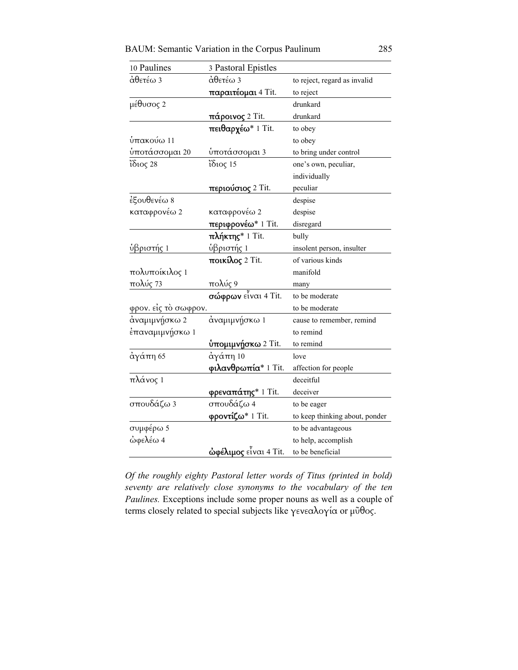| <b>BAUM: Semantic Variation in the Corpus Paulinum</b> |  |  |  |  |  |  |  |  |  | 285 |  |
|--------------------------------------------------------|--|--|--|--|--|--|--|--|--|-----|--|
|--------------------------------------------------------|--|--|--|--|--|--|--|--|--|-----|--|

| 10 Paulines                           | 3 Pastoral Epistles             |                                |
|---------------------------------------|---------------------------------|--------------------------------|
| άθετέω 3                              | άθετέω 3                        | to reject, regard as invalid   |
|                                       | <mark>παραιτέομαι</mark> 4 Tit. | to reject                      |
| μέθυσος 2                             |                                 | drunkard                       |
|                                       | <b>πάροινος</b> 2 Tit.          | drunkard                       |
|                                       | πειθαρχέω* 1 Tit.               | to obey                        |
| $\mathfrak{\dot{\text{u}}}$ πακούω 11 |                                 | to obey                        |
| ύποτάσσομ <u>αι 20</u>                | ύποτάσσομαι 3                   | to bring under control         |
| ἴδιος 28                              | ίδιος 15                        | one's own, peculiar,           |
|                                       |                                 | individually                   |
|                                       | <b>περιούσιος</b> 2 Tit.        | peculiar                       |
| έξουθενέω 8                           |                                 | despise                        |
| καταφρονέω 2                          | καταφρονέω 2                    | despise                        |
|                                       | περιφρονέω* 1 Tit.              | disregard                      |
|                                       | πλήκτης* 1 Tit.                 | bully                          |
| ὑβριστής 1                            | ύβριστής 1                      | insolent person, insulter      |
|                                       | ποικίλος 2 Tit.                 | of various kinds               |
| πολυποίκιλος 1                        |                                 | manifold                       |
| πολύς 73                              | <u>πολύς 9</u>                  | many                           |
|                                       | σώφρων είναι 4 Tit.             | to be moderate                 |
| φρον. είς τὸ σωφρον.                  |                                 | to be moderate                 |
| άναμιμνήσκω 2                         | άναμιμνήσκω 1                   | cause to remember, remind      |
| έπαναμιμνήσκω 1                       |                                 | to remind                      |
|                                       | <mark>ὑπομιμνήσκω</mark> 2 Tit. | to remind                      |
| άγάπη 65                              | $\dot{\alpha}$ γάπη 10          | love                           |
|                                       | φιλανθρωπία* 1 Tit.             | affection for people           |
| πλάνος 1                              |                                 | deceitful                      |
|                                       | φρεναπάτης* 1 Tit.              | deceiver                       |
| σπουδάζω 3                            | σπουδάζω 4                      | to be eager                    |
|                                       | φροντίζω* 1 Tit.                | to keep thinking about, ponder |
| συμφέρω 5                             |                                 | to be advantageous             |
| ώφελέω 4                              |                                 | to help, accomplish            |
|                                       | <b>ώφέλιμος</b> εἶναι 4 Tit.    | to be beneficial               |

*Of the roughly eighty Pastoral letter words of Titus (printed in bold) seventy are relatively close synonyms to the vocabulary of the ten Paulines.* Exceptions include some proper nouns as well as a couple of terms closely related to special subjects like γενεαλογία or µῦθος.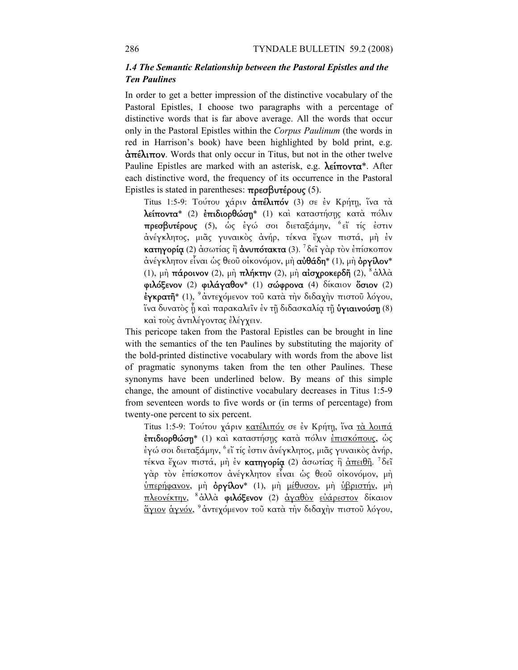# *1.4 The Semantic Relationship between the Pastoral Epistles and the Ten Paulines*

In order to get a better impression of the distinctive vocabulary of the Pastoral Epistles, I choose two paragraphs with a percentage of distinctive words that is far above average. All the words that occur only in the Pastoral Epistles within the *Corpus Paulinum* (the words in red in Harrison's book) have been highlighted by bold print, e.g.  $\frac{\partial \pi}{\partial \mu}$  Words that only occur in Titus, but not in the other twelve Pauline Epistles are marked with an asterisk, e.g.  $\lambda \epsilon \hat{\mathbf{m}} \text{ovra}^*$ . After each distinctive word, the frequency of its occurrence in the Pastoral Epistles is stated in parentheses:  $\pi$ ρεσβυτέρους (5).

Titus 1:5-9: Τούτου χάριν άπέλιπόν (3) σε έν Κρήτη, ίνα τα λείποντα\* (2) ἐπιδιορθώσῃ\* (1) καὶ καταστήσῃς κατὰ πόλιν πρεσβυτέρους (5), ὡς ἐγώ σοι διεταξάµην, <sup>6</sup>εἴ τίς ἐστιν ἀνέγκλητος, µιᾶς γυναικὸς ἀνήρ, τέκνα ἔχων πιστά, µὴ ἐν κατηγορία (2) ἀσωτίας ἢ ἀνυπότακτα (3). <sup>7</sup>δεῖ γὰρ τὸν ἐπίσκοπον άνέγκλητον εἶναι ὡς θεοῦ οἰκονόμον, μὴ **αὐθάδη\*** (1), μὴ **ὀργίλον\*** (1), μὴ πάροινον (2), μὴ πλήκτην (2), μὴ αἰσχροκερδῆ (2),  $\delta \dot{\alpha} \lambda \lambda \dot{\alpha}$ φιλόξενον (2) φιλάγαθον\* (1) σώφρονα (4) δίκαιον ὅσιον (2) έγκρατῆ<sup>\*</sup> (1), <sup>9</sup> ἀντεχόμενον τοῦ κατὰ τὴν διδαχὴν πιστοῦ λόγου, ἵνα δυνατὸς ἦ καὶ παρακαλεῖν ἐν τῇ διδασκαλία τῇ **ὑγιαινούσῃ** (8) καὶ τοὺς ἀντιλέγοντας ἐλέγχειν.

This pericope taken from the Pastoral Epistles can be brought in line with the semantics of the ten Paulines by substituting the majority of the bold-printed distinctive vocabulary with words from the above list of pragmatic synonyms taken from the ten other Paulines. These synonyms have been underlined below. By means of this simple change, the amount of distinctive vocabulary decreases in Titus 1:5-9 from seventeen words to five words or (in terms of percentage) from twenty-one percent to six percent.

Titus 1:5-9: Τούτου χάριν κατέλιπόν σε έν Κρήτη, ίνα τα λοιπά ἐπιδιορθώσῃ\* (1) καὶ καταστήσῃς κατὰ πόλιν ἐπισκόπους, ὡς ἐγώ σοι διεταξάµην, <sup>6</sup>εἴ τίς ἐστιν ἀνέγκλητος, µιᾶς γυναικὸς ἀνήρ, τέκνα ἔχων πιστά, μὴ ἐν κατηγορία (2) ἀσωτίας ἢ <u>ἀπειθῆ</u>. <sup>7</sup>δεῖ γὰρ τὸν ἐπίσκοπον ἀνέγκλητον εἶναι ὡς θεοῦ οἰκονόµον, µὴ ὑπερήφανον, µὴ ὀργίλον\* (1), µὴ µέθυσον, µὴ ὑβριστήν, µὴ πλεονέκτην, <sup>8</sup>ἀλλὰ φιλόξενον (2) <u>ἀγαθὸν</u> εὐάρεστον δίκαιον άγιον άγνόν, <sup>9</sup>άντεχόμενον τοῦ κατὰ τὴν διδαχὴν πιστοῦ λόγου,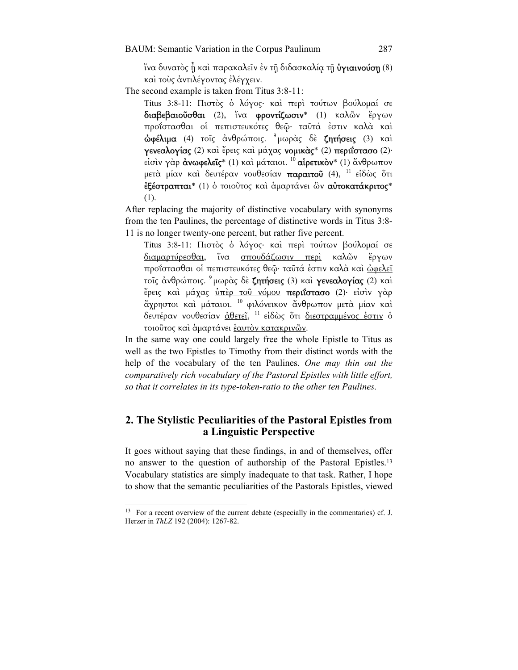ἵνα δυνατὸς ἦ καὶ παρακαλεῖν ἐν τῇ διδασκαλία τῇ **ὑγιαινούσῃ** (8) καὶ τοὺς ἀντιλέγοντας ἐλέγχειν.

The second example is taken from Titus 3:8-11:

Titus 3:8-11: Πιστὸς ὁ λόγος· καὶ περὶ τούτων βούλοµαί σε διαβεβαιοῦσθαι (2), ἵνα φροντίζωσιν\* (1) καλῶν ἔργων προΐστασθαι οἱ πεπιστευκότες θεῷ· ταῦτά ἐστιν καλὰ καὶ άφέλιμα (4) τοῖς ἀνθρώποις. <sup>9</sup>μωρὰς δὲ ζητήσεις (3) καὶ γενεαλογίας (2) καὶ ἔρεις καὶ µάχας νοµικὰς\* (2) περιΐστασο (2)· είσιν γαρ άνωφελεΐς\* (1) και μάταιοι. <sup>10</sup> αίρετικον\* (1) ἄνθρωπον μετά μίαν καὶ δευτέραν νουθεσίαν παραιτοῦ (4), <sup>11</sup> εἰδὼς ὅτι ἐξέστραπται\* (1) ὁ τοιοῦτος καὶ ἁµαρτάνει ὢν αὐτοκατάκριτος\* (1).

After replacing the majority of distinctive vocabulary with synonyms from the ten Paulines, the percentage of distinctive words in Titus 3:8- 11 is no longer twenty-one percent, but rather five percent.

Titus 3:8-11: Πιστὸς ὁ λόγος· καὶ περὶ τούτων βούλοµαί σε διαµαρτύρεσθαι, ἵνα σπουδάζωσιν περὶ καλῶν ἔργων προΐστασθαι οί πεπιστευκότες θεῷ· ταῦτά ἐστιν καλά καὶ ώφελεῖ τοῖς ἀνθρώποις. <sup>9</sup>µωρὰς δὲ ζητήσεις (3) καὶ γενεαλογίας (2) καὶ ἔρεις καὶ µάχας ὑπὲρ τοῦ νόµου περιΐστασο (2)· εἰσὶν γὰρ ἄχρηστοι καὶ µάταιοι. <sup>10</sup>φιλόνεικον ἄνθρωπον µετὰ µίαν καὶ δευτέραν νουθεσίαν ἀθετεῖ, <sup>11</sup>εἰδὼς ὅτι διεστραµµένος ἐστιν ὁ τοιοῦτος καὶ ἁµαρτάνει ἑαυτὸν κατακρινῶν.

In the same way one could largely free the whole Epistle to Titus as well as the two Epistles to Timothy from their distinct words with the help of the vocabulary of the ten Paulines. *One may thin out the comparatively rich vocabulary of the Pastoral Epistles with little effort, so that it correlates in its type-token-ratio to the other ten Paulines.*

# **2. The Stylistic Peculiarities of the Pastoral Epistles from a Linguistic Perspective**

It goes without saying that these findings, in and of themselves, offer no answer to the question of authorship of the Pastoral Epistles.13 Vocabulary statistics are simply inadequate to that task. Rather, I hope to show that the semantic peculiarities of the Pastorals Epistles, viewed

-

<sup>&</sup>lt;sup>13</sup> For a recent overview of the current debate (especially in the commentaries) cf. J. Herzer in *ThLZ* 192 (2004): 1267-82.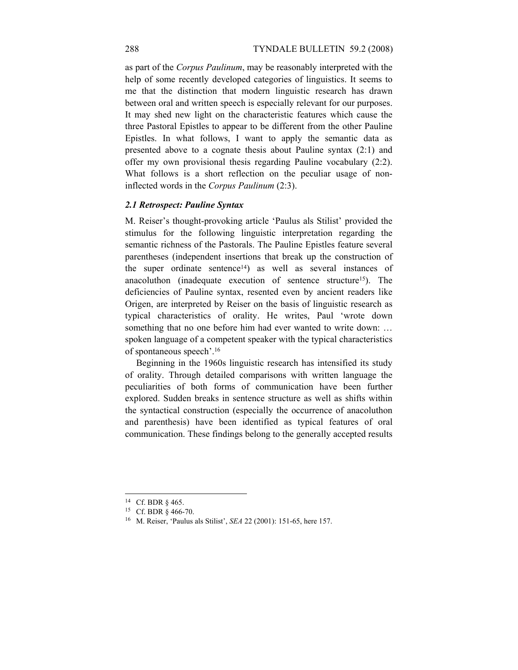as part of the *Corpus Paulinum*, may be reasonably interpreted with the help of some recently developed categories of linguistics. It seems to me that the distinction that modern linguistic research has drawn between oral and written speech is especially relevant for our purposes. It may shed new light on the characteristic features which cause the three Pastoral Epistles to appear to be different from the other Pauline Epistles. In what follows, I want to apply the semantic data as presented above to a cognate thesis about Pauline syntax (2:1) and offer my own provisional thesis regarding Pauline vocabulary (2:2). What follows is a short reflection on the peculiar usage of noninflected words in the *Corpus Paulinum* (2:3).

### *2.1 Retrospect: Pauline Syntax*

M. Reiser's thought-provoking article 'Paulus als Stilist' provided the stimulus for the following linguistic interpretation regarding the semantic richness of the Pastorals. The Pauline Epistles feature several parentheses (independent insertions that break up the construction of the super ordinate sentence<sup>14</sup>) as well as several instances of anacoluthon (inadequate execution of sentence structure15). The deficiencies of Pauline syntax, resented even by ancient readers like Origen, are interpreted by Reiser on the basis of linguistic research as typical characteristics of orality. He writes, Paul 'wrote down something that no one before him had ever wanted to write down: ... spoken language of a competent speaker with the typical characteristics of spontaneous speech'.16

Beginning in the 1960s linguistic research has intensified its study of orality. Through detailed comparisons with written language the peculiarities of both forms of communication have been further explored. Sudden breaks in sentence structure as well as shifts within the syntactical construction (especially the occurrence of anacoluthon and parenthesis) have been identified as typical features of oral communication. These findings belong to the generally accepted results

<sup>14</sup> Cf. BDR § 465.

<sup>15</sup> Cf. BDR § 466-70.

<sup>16</sup> M. Reiser, 'Paulus als Stilist', *SEA* 22 (2001): 151-65, here 157.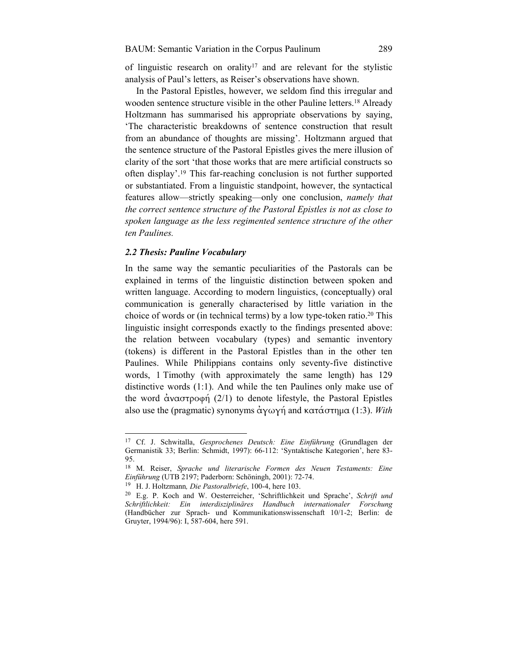of linguistic research on orality17 and are relevant for the stylistic analysis of Paul's letters, as Reiser's observations have shown.

In the Pastoral Epistles, however, we seldom find this irregular and wooden sentence structure visible in the other Pauline letters.18 Already Holtzmann has summarised his appropriate observations by saying, 'The characteristic breakdowns of sentence construction that result from an abundance of thoughts are missing'. Holtzmann argued that the sentence structure of the Pastoral Epistles gives the mere illusion of clarity of the sort 'that those works that are mere artificial constructs so often display'.19 This far-reaching conclusion is not further supported or substantiated. From a linguistic standpoint, however, the syntactical features allow—strictly speaking—only one conclusion, *namely that the correct sentence structure of the Pastoral Epistles is not as close to spoken language as the less regimented sentence structure of the other ten Paulines.*

### *2.2 Thesis: Pauline Vocabulary*

-

In the same way the semantic peculiarities of the Pastorals can be explained in terms of the linguistic distinction between spoken and written language. According to modern linguistics, (conceptually) oral communication is generally characterised by little variation in the choice of words or (in technical terms) by a low type-token ratio.20 This linguistic insight corresponds exactly to the findings presented above: the relation between vocabulary (types) and semantic inventory (tokens) is different in the Pastoral Epistles than in the other ten Paulines. While Philippians contains only seventy-five distinctive words, 1 Timothy (with approximately the same length) has 129 distinctive words (1:1). And while the ten Paulines only make use of the word  $\alpha$ ναστροφή (2/1) to denote lifestyle, the Pastoral Epistles also use the (pragmatic) synonyms ἀγωγή and κατάστηµα (1:3). *With* 

<sup>17</sup> Cf. J. Schwitalla, *Gesprochenes Deutsch: Eine Einführung* (Grundlagen der Germanistik 33; Berlin: Schmidt, 1997): 66-112: 'Syntaktische Kategorien', here 83- 95.

<sup>18</sup> M. Reiser, *Sprache und literarische Formen des Neuen Testaments: Eine* 

<sup>&</sup>lt;sup>19</sup> H. J. Holtzmann, *Die Pastoralbriefe*, 100-4, here 103. <sup>20</sup> E.g. P. Koch and W. Oesterreicher, 'Schriftlichkeit und Sprache', *Schrift und Schriftlichkeit: Ein interdisziplinäres Handbuch internationaler Forschung*  (Handbücher zur Sprach- und Kommunikationswissenschaft 10/1-2; Berlin: de Gruyter, 1994/96): I, 587-604, here 591.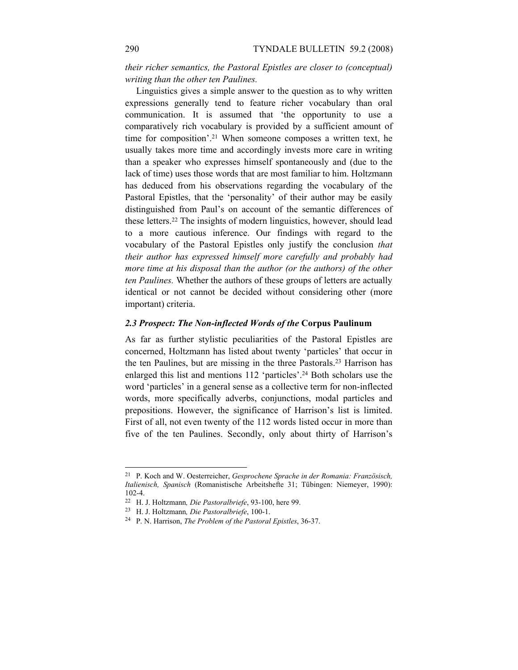*their richer semantics, the Pastoral Epistles are closer to (conceptual) writing than the other ten Paulines.*

Linguistics gives a simple answer to the question as to why written expressions generally tend to feature richer vocabulary than oral communication. It is assumed that 'the opportunity to use a comparatively rich vocabulary is provided by a sufficient amount of time for composition'.21 When someone composes a written text, he usually takes more time and accordingly invests more care in writing than a speaker who expresses himself spontaneously and (due to the lack of time) uses those words that are most familiar to him. Holtzmann has deduced from his observations regarding the vocabulary of the Pastoral Epistles, that the 'personality' of their author may be easily distinguished from Paul's on account of the semantic differences of these letters.22 The insights of modern linguistics, however, should lead to a more cautious inference. Our findings with regard to the vocabulary of the Pastoral Epistles only justify the conclusion *that their author has expressed himself more carefully and probably had more time at his disposal than the author (or the authors) of the other ten Paulines.* Whether the authors of these groups of letters are actually identical or not cannot be decided without considering other (more important) criteria.

### *2.3 Prospect: The Non-inflected Words of the* **Corpus Paulinum**

As far as further stylistic peculiarities of the Pastoral Epistles are concerned, Holtzmann has listed about twenty 'particles' that occur in the ten Paulines, but are missing in the three Pastorals.23 Harrison has enlarged this list and mentions 112 'particles'.24 Both scholars use the word 'particles' in a general sense as a collective term for non-inflected words, more specifically adverbs, conjunctions, modal particles and prepositions. However, the significance of Harrison's list is limited. First of all, not even twenty of the 112 words listed occur in more than five of the ten Paulines. Secondly, only about thirty of Harrison's

-

<sup>21</sup> P. Koch and W. Oesterreicher, *Gesprochene Sprache in der Romania: Französisch, Italienisch, Spanisch* (Romanistische Arbeitshefte 31; Tübingen: Niemeyer, 1990): 102-4.

<sup>22</sup> H. J. Holtzmann*, Die Pastoralbriefe*, 93-100, here 99. 23 H. J. Holtzmann*, Die Pastoralbriefe*, 100-1. 24 P. N. Harrison, *The Problem of the Pastoral Epistles*, 36-37.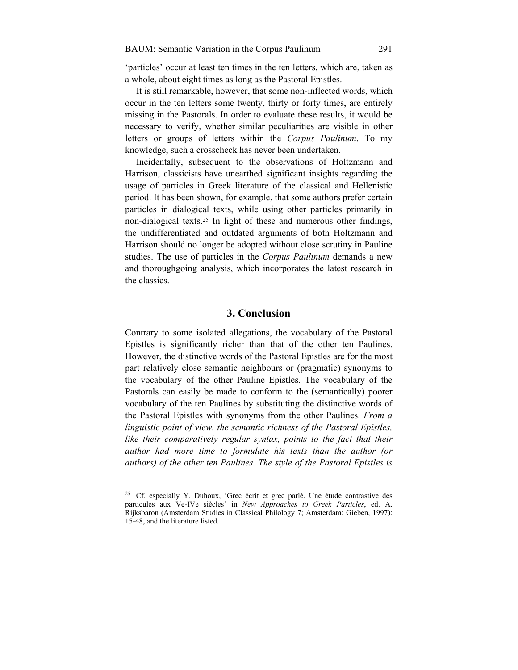'particles' occur at least ten times in the ten letters, which are, taken as a whole, about eight times as long as the Pastoral Epistles.

It is still remarkable, however, that some non-inflected words, which occur in the ten letters some twenty, thirty or forty times, are entirely missing in the Pastorals. In order to evaluate these results, it would be necessary to verify, whether similar peculiarities are visible in other letters or groups of letters within the *Corpus Paulinum*. To my knowledge, such a crosscheck has never been undertaken.

Incidentally, subsequent to the observations of Holtzmann and Harrison, classicists have unearthed significant insights regarding the usage of particles in Greek literature of the classical and Hellenistic period. It has been shown, for example, that some authors prefer certain particles in dialogical texts, while using other particles primarily in non-dialogical texts.25 In light of these and numerous other findings, the undifferentiated and outdated arguments of both Holtzmann and Harrison should no longer be adopted without close scrutiny in Pauline studies. The use of particles in the *Corpus Paulinum* demands a new and thoroughgoing analysis, which incorporates the latest research in the classics.

# **3. Conclusion**

Contrary to some isolated allegations, the vocabulary of the Pastoral Epistles is significantly richer than that of the other ten Paulines. However, the distinctive words of the Pastoral Epistles are for the most part relatively close semantic neighbours or (pragmatic) synonyms to the vocabulary of the other Pauline Epistles. The vocabulary of the Pastorals can easily be made to conform to the (semantically) poorer vocabulary of the ten Paulines by substituting the distinctive words of the Pastoral Epistles with synonyms from the other Paulines. *From a linguistic point of view, the semantic richness of the Pastoral Epistles, like their comparatively regular syntax, points to the fact that their author had more time to formulate his texts than the author (or authors) of the other ten Paulines. The style of the Pastoral Epistles is* 

<sup>25</sup> Cf. especially Y. Duhoux, 'Grec écrit et grec parlé. Une étude contrastive des particules aux Ve-IVe siècles' in *New Approaches to Greek Particles*, ed. A. Rijksbaron (Amsterdam Studies in Classical Philology 7; Amsterdam: Gieben, 1997): 15-48, and the literature listed.